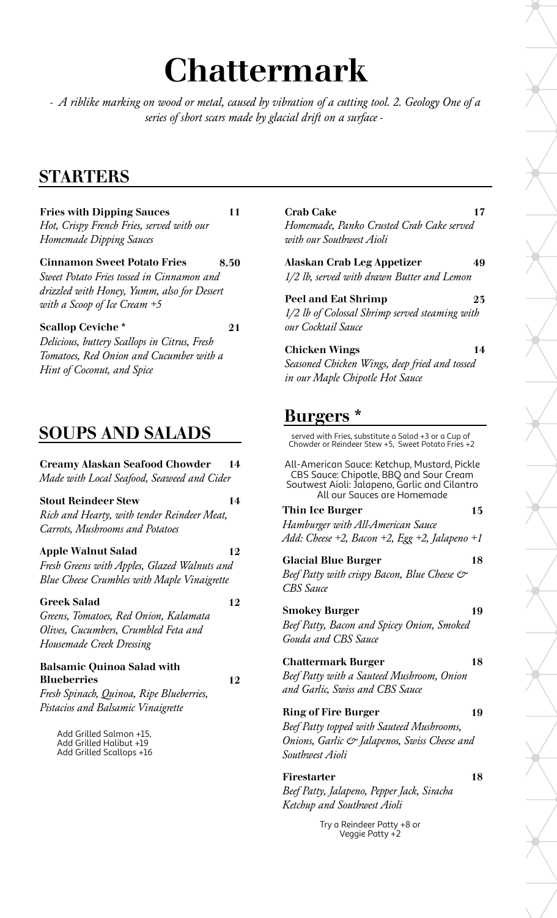# Chattermark

*- A riblike marking on wood or metal, caused by vibration of a cutting tool. 2. Geology One of a series of short scars made by glacial drift on a surface -*

# STARTERS

**Fries with Dipping Sauces** 11 *Hot, Crispy French Fries, served with our Homemade Dipping Sauces*

Cinnamon Sweet Potato Fries 8.50 *Sweet Potato Fries tossed in Cinnamon and drizzled with Honey, Yumm, also for Dessert with a Scoop of Ice Cream +5*

Scallop Ceviche \* 21

*Delicious, buttery Scallops in Citrus, Fresh Tomatoes, Red Onion and Cucumber with a Hint of Coconut, and Spice*

# SOUPS AND SALADS

#### Creamy Alaskan Seafood Chowder 14

*Made with Local Seafood, Seaweed and Cider*

Stout Reindeer Stew 14

*Rich and Hearty, with tender Reindeer Meat, Carrots, Mushrooms and Potatoes*

#### Apple Walnut Salad 12

*Fresh Greens with Apples, Glazed Walnuts and Blue Cheese Crumbles with Maple Vinaigrette*

#### Greek Salad 12

*Greens, Tomatoes, Red Onion, Kalamata Olives, Cucumbers, Crumbled Feta and Housemade Creek Dressing*

#### Balsamic Quinoa Salad with Blueberries 12

*Fresh Spinach, Quinoa, Ripe Blueberries, Pistacios and Balsamic Vinaigrette*

> Add Grilled Salmon +15, Add Grilled Halibut +19 Add Grilled Scallops +16

#### Crab Cake 17 *Homemade, Panko Crusted Crab Cake served with our Southwest Aioli*

#### Alaskan Crab Leg Appetizer 49

*1/2 lb, served with drawn Butter and Lemon*

#### Peel and Eat Shrimp 25

*1/2 lb of Colossal Shrimp served steaming with our Cocktail Sauce*

#### Chicken Wings 14

*Seasoned Chicken Wings, deep fried and tossed in our Maple Chipotle Hot Sauce*

# Burgers \*

served with Fries, substitute a Salad +3 or a Cup of Chowder or Reindeer Stew +5, Sweet Potato Fries +2

All-American Sauce: Ketchup, Mustard, Pickle CBS Sauce: Chipotle, BBQ and Sour Cream Soutwest Aioli: Jalapeno, Garlic and Cilantro All our Sauces are Homemade

#### Thin Ice Burger 15

*Hamburger with All-American Sauce Add: Cheese +2, Bacon +2, Egg +2, Jalapeno +1*

#### Glacial Blue Burger 18

*Beef Patty with crispy Bacon, Blue Cheese & CBS Sauce*

#### **Smokey Burger 19**

*Beef Patty, Bacon and Spicey Onion, Smoked Gouda and CBS Sauce*

#### Chattermark Burger 18

*Beef Patty with a Sauteed Mushroom, Onion and Garlic, Swiss and CBS Sauce*

#### Ring of Fire Burger 19

*Beef Patty topped with Sauteed Mushrooms, Onions, Garlic & Jalapenos, Swiss Cheese and Southwest Aioli*

#### Firestarter 18

*Beef Patty, Jalapeno, Pepper Jack, Siracha Ketchup and Southwest Aioli*

> Try a Reindeer Patty +8 or Veggie Patty +2